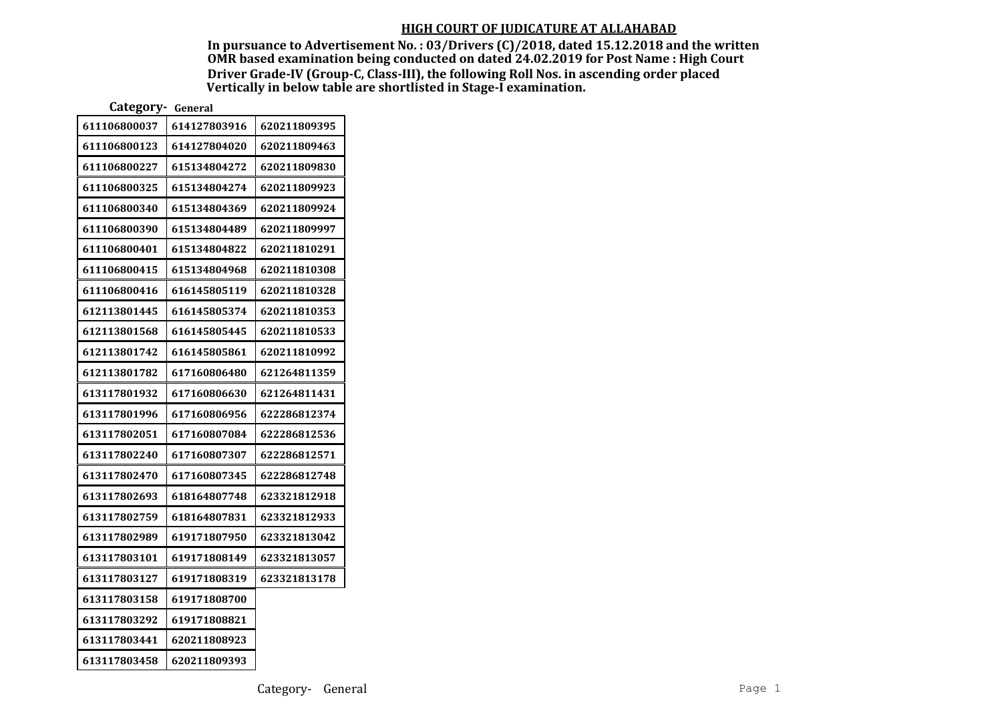In pursuance to Advertisement No. : 03/Drivers (C)/2018, dated 15.12.2018 and the written OMR based examination being conducted on dated 24.02.2019 for Post Name : High Court Driver Grade-IV (Group-C, Class-III), the following Roll Nos. in ascending order placed Vertically in below table are shortlisted in Stage-I examination.

| Category-<br>General |              |              |
|----------------------|--------------|--------------|
| 611106800037         | 614127803916 | 620211809395 |
| 611106800123         | 614127804020 | 620211809463 |
| 611106800227         | 615134804272 | 620211809830 |
| 611106800325         | 615134804274 | 620211809923 |
| 611106800340         | 615134804369 | 620211809924 |
| 611106800390         | 615134804489 | 620211809997 |
| 611106800401         | 615134804822 | 620211810291 |
| 611106800415         | 615134804968 | 620211810308 |
| 611106800416         | 616145805119 | 620211810328 |
| 612113801445         | 616145805374 | 620211810353 |
| 612113801568         | 616145805445 | 620211810533 |
| 612113801742         | 616145805861 | 620211810992 |
| 612113801782         | 617160806480 | 621264811359 |
| 613117801932         | 617160806630 | 621264811431 |
| 613117801996         | 617160806956 | 622286812374 |
| 613117802051         | 617160807084 | 622286812536 |
| 613117802240         | 617160807307 | 622286812571 |
| 613117802470         | 617160807345 | 622286812748 |
| 613117802693         | 618164807748 | 623321812918 |
| 613117802759         | 618164807831 | 623321812933 |
| 613117802989         | 619171807950 | 623321813042 |
| 613117803101         | 619171808149 | 623321813057 |
| 613117803127         | 619171808319 | 623321813178 |
| 613117803158         | 619171808700 |              |
| 613117803292         | 619171808821 |              |
| 613117803441         | 620211808923 |              |
| 613117803458         | 620211809393 |              |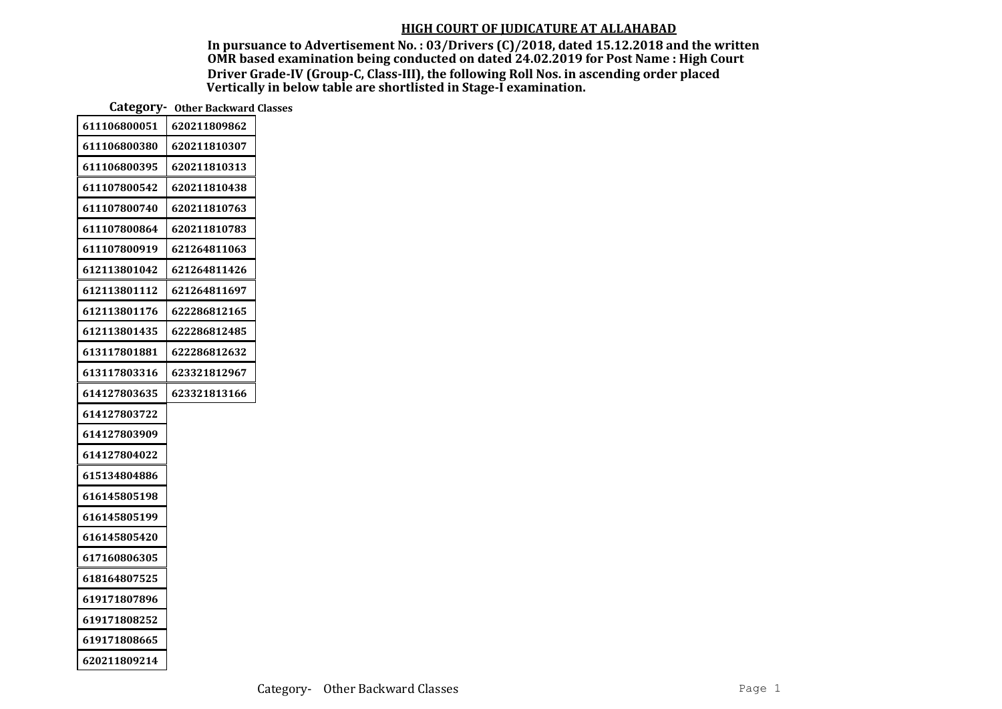In pursuance to Advertisement No. : 03/Drivers (C)/2018, dated 15.12.2018 and the written OMR based examination being conducted on dated 24.02.2019 for Post Name : High Court Driver Grade-IV (Group-C, Class-III), the following Roll Nos. in ascending order placed Vertically in below table are shortlisted in Stage-I examination.

Category- Other Backward Classes

| 611106800051 | 620211809862 |
|--------------|--------------|
| 611106800380 | 620211810307 |
| 611106800395 | 620211810313 |
| 611107800542 | 620211810438 |
| 611107800740 | 620211810763 |
| 611107800864 | 620211810783 |
| 611107800919 | 621264811063 |
| 612113801042 | 621264811426 |
| 612113801112 | 621264811697 |
| 612113801176 | 622286812165 |
| 612113801435 | 622286812485 |
| 613117801881 | 622286812632 |
| 613117803316 | 623321812967 |
| 614127803635 | 623321813166 |
| 614127803722 |              |
| 614127803909 |              |
| 614127804022 |              |
| 615134804886 |              |
| 616145805198 |              |
| 616145805199 |              |
| 616145805420 |              |
| 617160806305 |              |
| 618164807525 |              |
| 619171807896 |              |
| 619171808252 |              |
| 619171808665 |              |
| 620211809214 |              |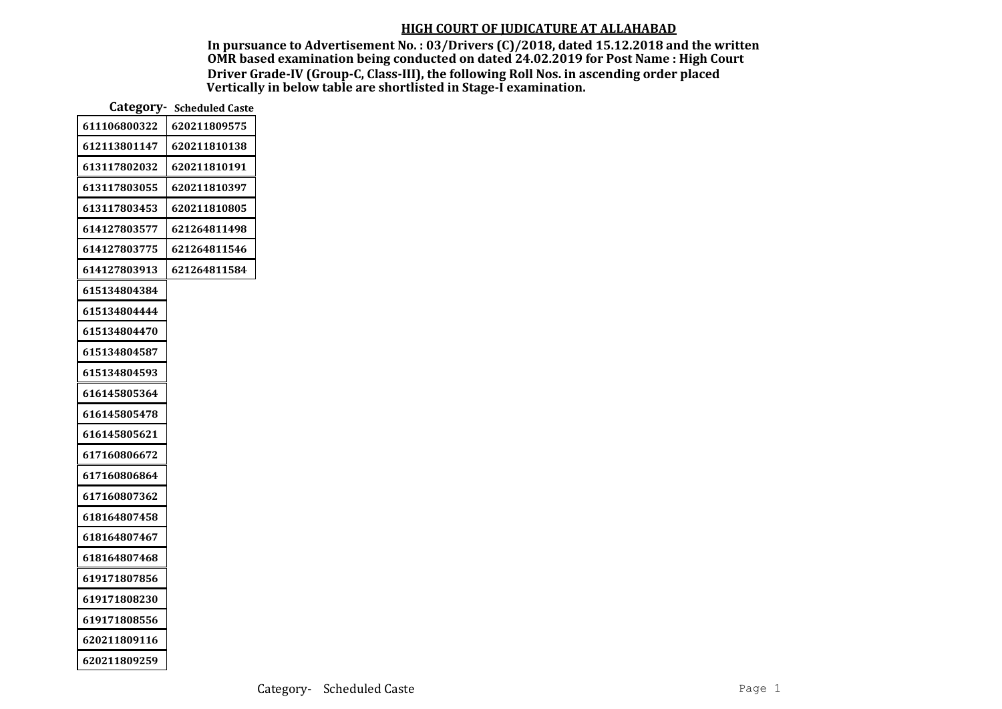In pursuance to Advertisement No. : 03/Drivers (C)/2018, dated 15.12.2018 and the written OMR based examination being conducted on dated 24.02.2019 for Post Name : High Court Driver Grade-IV (Group-C, Class-III), the following Roll Nos. in ascending order placed Vertically in below table are shortlisted in Stage-I examination.

|              | Category - Scheduled Caste |
|--------------|----------------------------|
| 611106800322 | 620211809575               |
| 612113801147 | 620211810138               |
| 613117802032 | 620211810191               |
| 613117803055 | 620211810397               |
| 613117803453 | 620211810805               |
| 614127803577 | 621264811498               |
| 614127803775 | 621264811546               |
| 614127803913 | 621264811584               |
| 615134804384 |                            |
| 615134804444 |                            |
| 615134804470 |                            |
| 615134804587 |                            |
| 615134804593 |                            |
| 616145805364 |                            |
| 616145805478 |                            |
| 616145805621 |                            |
| 617160806672 |                            |
| 617160806864 |                            |
| 617160807362 |                            |
| 618164807458 |                            |
| 618164807467 |                            |
| 618164807468 |                            |
| 619171807856 |                            |
| 619171808230 |                            |
| 619171808556 |                            |
| 620211809116 |                            |
| 620211809259 |                            |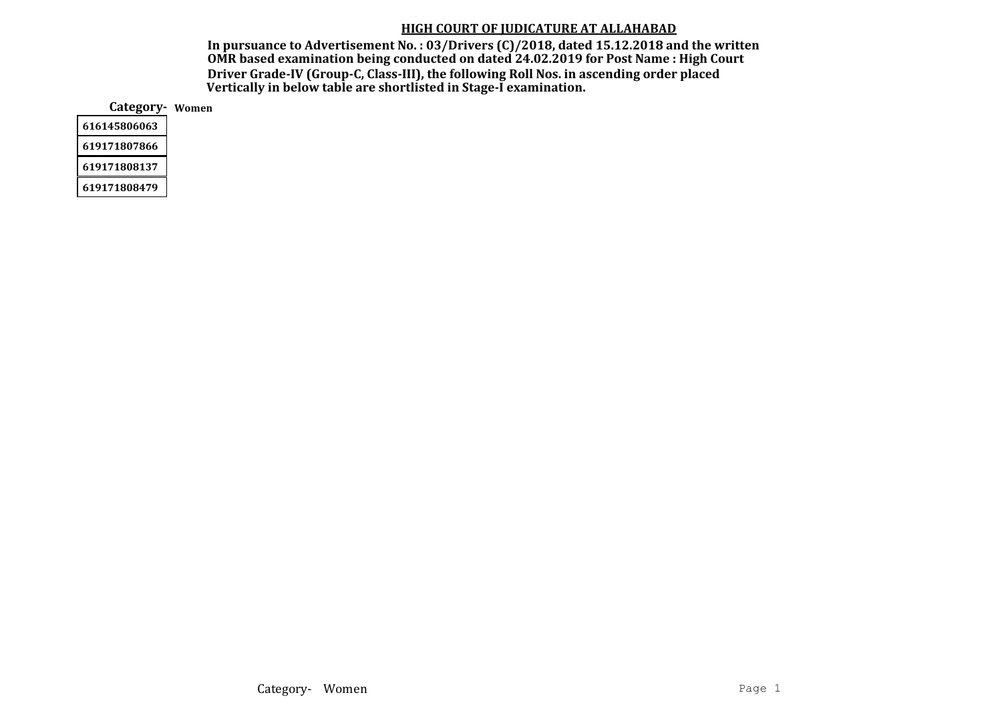In pursuance to Advertisement No. : 03/Drivers (C)/2018, dated 15.12.2018 and the written OMR based examination being conducted on dated 24.02.2019 for Post Name : High Court Driver Grade-IV (Group-C, Class-III), the following Roll Nos. in ascending order placed Vertically in below table are shortlisted in Stage-I examination.

Category- Women

| 616145806063 |
|--------------|
| 619171807866 |
| 619171808137 |
| 619171808479 |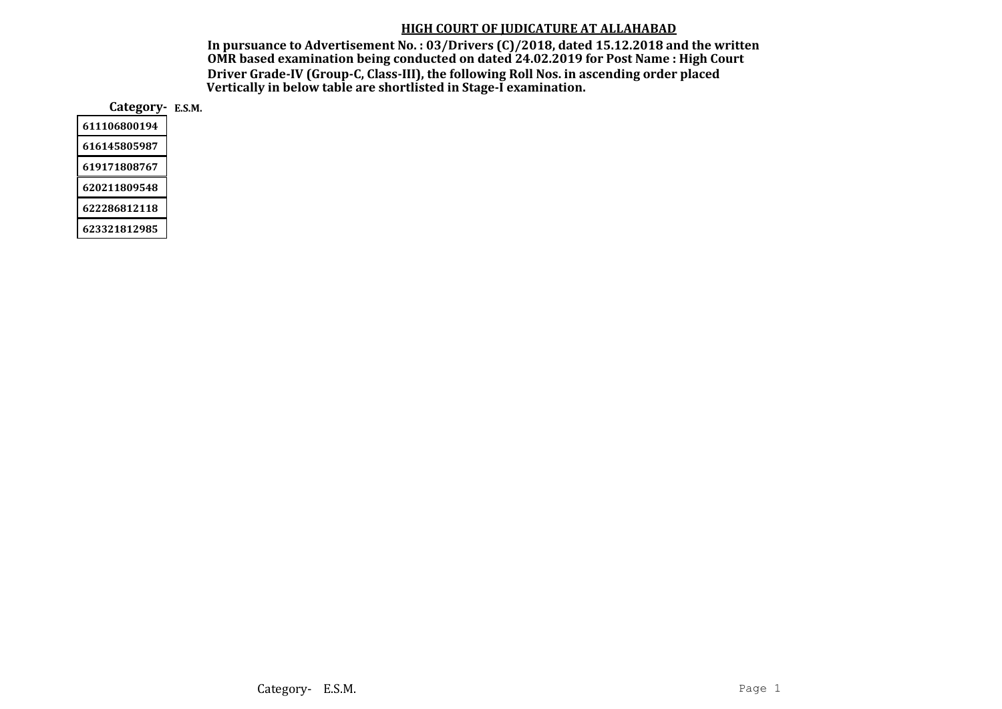In pursuance to Advertisement No. : 03/Drivers (C)/2018, dated 15.12.2018 and the written OMR based examination being conducted on dated 24.02.2019 for Post Name : High Court Driver Grade-IV (Group-C, Class-III), the following Roll Nos. in ascending order placed Vertically in below table are shortlisted in Stage-I examination.

Category- E.S.M.

| 611106800194 |
|--------------|
| 616145805987 |
| 619171808767 |
| 620211809548 |
| 622286812118 |
|              |

623321812985